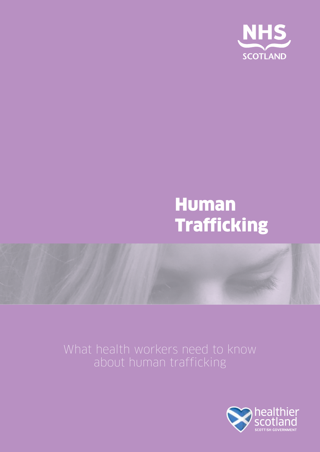

### Human **Trafficking**

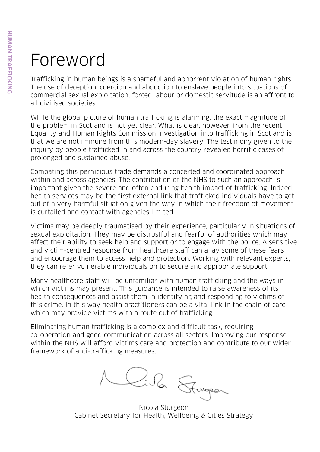### Foreword

Trafficking in human beings is a shameful and abhorrent violation of human rights. The use of deception, coercion and abduction to enslave people into situations of commercial sexual exploitation, forced labour or domestic servitude is an affront to all civilised societies.

While the global picture of human trafficking is alarming, the exact magnitude of the problem in Scotland is not yet clear. What is clear, however, from the recent Equality and Human Rights Commission investigation into trafficking in Scotland is that we are not immune from this modern-day slavery. The testimony given to the inquiry by people trafficked in and across the country revealed horrific cases of prolonged and sustained abuse.

Combating this pernicious trade demands a concerted and coordinated approach within and across agencies. The contribution of the NHS to such an approach is important given the severe and often enduring health impact of trafficking. Indeed, health services may be the first external link that trafficked individuals have to get out of a very harmful situation given the way in which their freedom of movement is curtailed and contact with agencies limited.

Victims may be deeply traumatised by their experience, particularly in situations of sexual exploitation. They may be distrustful and fearful of authorities which may affect their ability to seek help and support or to engage with the police. A sensitive and victim-centred response from healthcare staff can allay some of these fears and encourage them to access help and protection. Working with relevant experts, they can refer vulnerable individuals on to secure and appropriate support.

Many healthcare staff will be unfamiliar with human trafficking and the ways in which victims may present. This guidance is intended to raise awareness of its health consequences and assist them in identifying and responding to victims of this crime. In this way health practitioners can be a vital link in the chain of care which may provide victims with a route out of trafficking.

Eliminating human trafficking is a complex and difficult task, requiring co-operation and good communication across all sectors. Improving our response within the NHS will afford victims care and protection and contribute to our wider framework of anti-trafficking measures.

Cila Sturgeon

Nicola Sturgeon Cabinet Secretary for Health, Wellbeing & Cities Strategy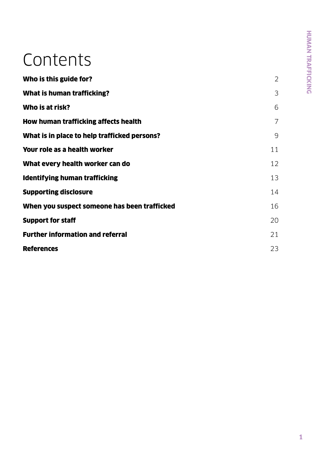### Contents

| Who is this guide for?                       | $\overline{2}$ |
|----------------------------------------------|----------------|
| What is human trafficking?                   | 3              |
| Who is at risk?                              | 6              |
| How human trafficking affects health         | $\overline{7}$ |
| What is in place to help trafficked persons? | 9              |
| Your role as a health worker                 | 11             |
| What every health worker can do              | 12             |
| <b>Identifying human trafficking</b>         | 13             |
| <b>Supporting disclosure</b>                 | 14             |
| When you suspect someone has been trafficked | 16             |
| <b>Support for staff</b>                     | 20             |
| <b>Further information and referral</b>      | 21             |
| <b>References</b>                            | 23             |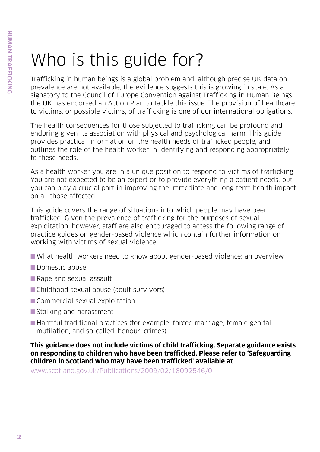### Who is this guide for?

Trafficking in human beings is a global problem and, although precise UK data on prevalence are not available, the evidence suggests this is growing in scale. As a signatory to the Council of Europe Convention against Trafficking in Human Beings, the UK has endorsed an Action Plan to tackle this issue. The provision of healthcare to victims, or possible victims, of trafficking is one of our international obligations.

The health consequences for those subjected to trafficking can be profound and enduring given its association with physical and psychological harm. This guide provides practical information on the health needs of trafficked people, and outlines the role of the health worker in identifying and responding appropriately to these needs.

As a health worker you are in a unique position to respond to victims of trafficking. You are not expected to be an expert or to provide everything a patient needs, but you can play a crucial part in improving the immediate and long-term health impact on all those affected.

This guide covers the range of situations into which people may have been trafficked. Given the prevalence of trafficking for the purposes of sexual exploitation, however, staff are also encouraged to access the following range of practice guides on gender-based violence which contain further information on working with victims of sexual violence:<sup>1</sup>

- What health workers need to know about gender-based violence: an overview
- Domestic abuse
- Rape and sexual assault
- Childhood sexual abuse (adult survivors)
- Commercial sexual exploitation
- Stalking and harassment
- Harmful traditional practices (for example, forced marriage, female genital mutilation, and so-called 'honour' crimes)

**This guidance does not include victims of child trafficking. Separate guidance exists on responding to children who have been trafficked. Please refer to 'Safeguarding children in Scotland who may have been trafficked' available at** 

[www.scotland.gov.uk/Publications/2009/02/18092546/0](http://www.scotland.gov.uk/Publications/2009/02/18092546/0)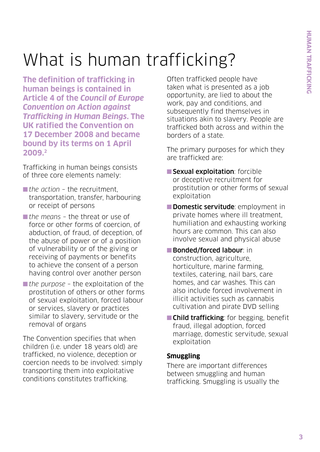## What is human trafficking?

**The definition of trafficking in human beings is contained in Article 4 of the [Council of Europe](http://www.coe.int/t/dg2/trafficking/campaign/Source/PDF_Conv_197_Trafficking_E.pdf)  [Convention on Action against](http://www.coe.int/t/dg2/trafficking/campaign/Source/PDF_Conv_197_Trafficking_E.pdf)  [Trafficking in Human Beings](http://www.coe.int/t/dg2/trafficking/campaign/Source/PDF_Conv_197_Trafficking_E.pdf). The UK ratified the Convention on 17 December 2008 and became bound by its terms on 1 April 2009.2**

Trafficking in human beings consists of three core elements namely:

- $\blacksquare$  the action the recruitment. transportation, transfer, harbouring or receipt of persons
- $\blacksquare$  the means the threat or use of force or other forms of coercion, of abduction, of fraud, of deception, of the abuse of power or of a position of vulnerability or of the giving or receiving of payments or benefits to achieve the consent of a person having control over another person
- $\blacksquare$  the purpose the exploitation of the prostitution of others or other forms of sexual exploitation, forced labour or services, slavery or practices similar to slavery, servitude or the removal of organs

The Convention specifies that when children (i.e. under 18 years old) are trafficked, no violence, deception or coercion needs to be involved: simply transporting them into exploitative conditions constitutes trafficking.

Often trafficked people have taken what is presented as a job opportunity, are lied to about the work, pay and conditions, and subsequently find themselves in situations akin to slavery. People are trafficked both across and within the borders of a state.

The primary purposes for which they are trafficked are:

- Sexual exploitation: forcible or deceptive recruitment for prostitution or other forms of sexual exploitation
- **Domestic servitude**: employment in private homes where ill treatment, humiliation and exhausting working hours are common. This can also involve sexual and physical abuse
- **Bonded/forced labour**: in construction, agriculture, horticulture, marine farming, textiles, catering, nail bars, care homes, and car washes. This can also include forced involvement in illicit activities such as cannabis cultivation and pirate DVD selling
- Child trafficking: for begging, benefit fraud, illegal adoption, forced marriage, domestic servitude, sexual exploitation

#### **Smuggling**

There are important differences between smuggling and human trafficking. Smuggling is usually the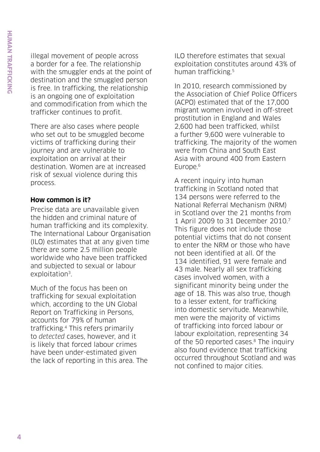illegal movement of people across a border for a fee. The relationship with the smuggler ends at the point of destination and the smuggled person is free. In trafficking, the relationship is an ongoing one of exploitation and commodification from which the trafficker continues to profit.

There are also cases where people who set out to be smuggled become victims of trafficking during their journey and are vulnerable to exploitation on arrival at their destination. Women are at increased risk of sexual violence during this process.

#### **How common is it?**

Precise data are unavailable given the hidden and criminal nature of human trafficking and its complexity. The International Labour Organisation (ILO) estimates that at any given time there are some 2.5 million people worldwide who have been trafficked and subjected to sexual or labour exploitation3.

Much of the focus has been on trafficking for sexual exploitation which, according to the UN Global Report on Trafficking in Persons, accounts for 79% of human trafficking.4 This refers primarily to detected cases, however, and it is likely that forced labour crimes have been under-estimated given the lack of reporting in this area. The ILO therefore estimates that sexual exploitation constitutes around 43% of human trafficking.<sup>5</sup>

In 2010, research commissioned by the Association of Chief Police Officers (ACPO) estimated that of the 17,000 migrant women involved in off-street prostitution in England and Wales 2,600 had been trafficked, whilst a further 9,600 were vulnerable to trafficking. The majority of the women were from China and South East Asia with around 400 from Eastern Europe.6

A recent inquiry into human trafficking in Scotland noted that 134 persons were referred to the National Referral Mechanism (NRM) in Scotland over the 21 months from 1 April 2009 to 31 December 2010.7 This figure does not include those potential victims that do not consent to enter the NRM or those who have not been identified at all. Of the 134 identified, 91 were female and 43 male. Nearly all sex trafficking cases involved women, with a significant minority being under the age of 18. This was also true, though to a lesser extent, for trafficking into domestic servitude. Meanwhile, men were the majority of victims of trafficking into forced labour or labour exploitation, representing 34 of the 50 reported cases. $8$  The inquiry also found evidence that trafficking occurred throughout Scotland and was not confined to major cities.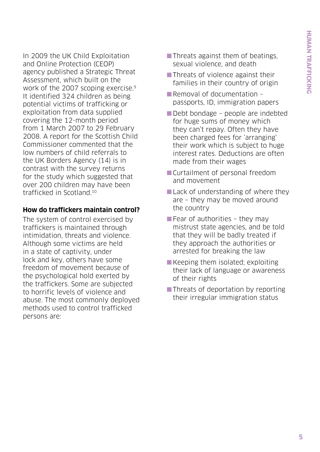In 2009 the UK Child Exploitation and Online Protection (CEOP) agency published a Strategic Threat Assessment, which built on the work of the 2007 scoping exercise.<sup>9</sup> It identified 324 children as being potential victims of trafficking or exploitation from data supplied covering the 12-month period from 1 March 2007 to 29 February 2008. A report for the Scottish Child Commissioner commented that the low numbers of child referrals to the UK Borders Agency (14) is in contrast with the survey returns for the study which suggested that over 200 children may have been trafficked in Scotland<sup>10</sup>

#### **How do traffickers maintain control?**

The system of control exercised by traffickers is maintained through intimidation, threats and violence. Although some victims are held in a state of captivity, under lock and key, others have some freedom of movement because of the psychological hold exerted by the traffickers. Some are subjected to horrific levels of violence and abuse. The most commonly deployed methods used to control trafficked persons are:

- Threats against them of beatings, sexual violence, and death
- Threats of violence against their families in their country of origin
- Removal of documentation passports, ID, immigration papers
- Debt bondage people are indebted for huge sums of money which they can't repay. Often they have been charged fees for 'arranging' their work which is subject to huge interest rates. Deductions are often made from their wages
- Curtailment of personal freedom and movement
- Lack of understanding of where they are – they may be moved around the country
- $\blacksquare$  Fear of authorities they may mistrust state agencies, and be told that they will be badly treated if they approach the authorities or arrested for breaking the law
- Keeping them isolated; exploiting their lack of language or awareness of their rights
- Threats of deportation by reporting their irregular immigration status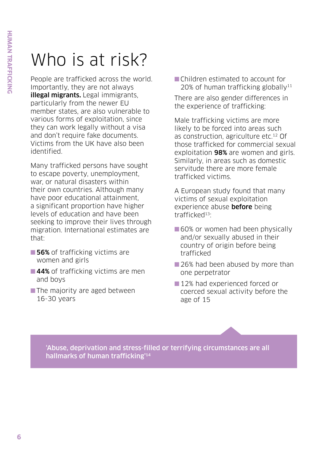### Who is at risk?

People are trafficked across the world. Importantly, they are not always illegal migrants**.** Legal immigrants, particularly from the newer EU member states, are also vulnerable to various forms of exploitation, since they can work legally without a visa and don't require fake documents. Victims from the UK have also been identified.

Many trafficked persons have sought to escape poverty, unemployment, war, or natural disasters within their own countries. Although many have poor educational attainment, a significant proportion have higher levels of education and have been seeking to improve their lives through migration. International estimates are that:

- 56% of trafficking victims are women and girls
- 44% of trafficking victims are men and boys
- The majority are aged between 16-30 years

■ Children estimated to account for 20% of human trafficking globally<sup>11</sup>

There are also gender differences in the experience of trafficking:

Male trafficking victims are more likely to be forced into areas such as construction, agriculture etc.12 Of those trafficked for commercial sexual exploitation 98% are women and girls. Similarly, in areas such as domestic servitude there are more female trafficked victims.

A European study found that many victims of sexual exploitation experience abuse **before** being trafficked13:

- 60% or women had been physically and/or sexually abused in their country of origin before being trafficked
- 26% had been abused by more than one perpetrator
- 12% had experienced forced or coerced sexual activity before the age of 15

'Abuse, deprivation and stress-filled or terrifying circumstances are all hallmarks of human trafficking'14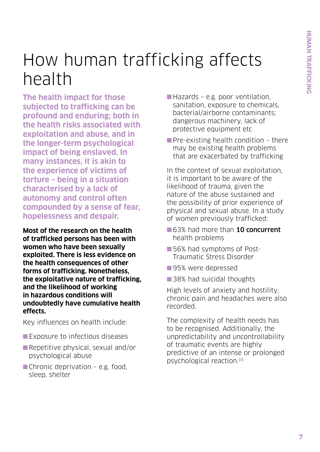### How human trafficking affects health

**The health impact for those subjected to trafficking can be profound and enduring; both in the health risks associated with exploitation and abuse, and in the longer-term psychological impact of being enslaved. In many instances, it is akin to the experience of victims of torture – being in a situation characterised by a lack of autonomy and control often compounded by a sense of fear, hopelessness and despair.**

**Most of the research on the health of trafficked persons has been with women who have been sexually exploited. There is less evidence on the health consequences of other forms of trafficking. Nonetheless, the exploitative nature of trafficking, and the likelihood of working in hazardous conditions will undoubtedly have cumulative health effects.**

Key influences on health include:

- Exposure to infectious diseases
- Repetitive physical, sexual and/or psychological abuse
- $\blacksquare$  Chronic deprivation e.g. food, sleep, shelter
- Hazards e.g. poor ventilation, sanitation, exposure to chemicals, bacterial/airborne contaminants; dangerous machinery, lack of protective equipment etc
- Pre-existing health condition there may be existing health problems that are exacerbated by trafficking

In the context of sexual exploitation, it is important to be aware of the likelihood of trauma, given the nature of the abuse sustained and the possibility of prior experience of physical and sexual abuse. In a study of women previously trafficked:

- 63% had more than **10 concurrent** health problems
- 56% had symptoms of Post-Traumatic Stress Disorder
- 95% were depressed
- 38% had suicidal thoughts

High levels of anxiety and hostility, chronic pain and headaches were also recorded.

The complexity of health needs has to be recognised. Additionally, the unpredictability and uncontrollability of traumatic events are highly predictive of an intense or prolonged psychological reaction.15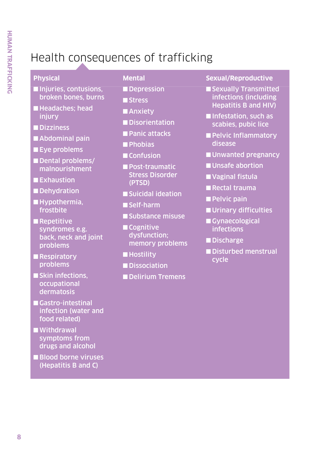### Health consequences of trafficking

- 
- Injuries, contusions, broken bones, burns
- Headaches; head injury
- Dizziness
- Abdominal pain
- Eye problems
- Dental problems/ malnourishment
- Exhaustion
- Dehydration
- Hypothermia, frostbite
- Repetitive syndromes e.g. back, neck and joint problems
- Respiratory problems
- **B** Skin infections, occupational dermatosis
- Gastro-intestinal infection (water and food related)
- Withdrawal symptoms from drugs and alcohol
- Blood borne viruses (Hepatitis B and C)
- Depression
- Stress
- Anxiety
- Disorientation
- Panic attacks
- Phobias
- Confusion
- Post-traumatic Stress Disorder (PTSD)
- Suicidal ideation
- Self-harm
- Substance misuse
- Cognitive dysfunction; memory problems
- Hostility
- Dissociation
- Delirium Tremens

### **Physical Mental Sexual/Reproductive**

- Sexually Transmitted infections (including Hepatitis B and HIV)
- Infestation, such as scabies, pubic lice
- Pelvic Inflammatory disease
- Unwanted pregnancy
- Unsafe abortion
- Vaginal fistula
- Rectal trauma
- Pelvic pain
- Urinary difficulties
- Gynaecological infections
- Discharge
- Disturbed menstrual cycle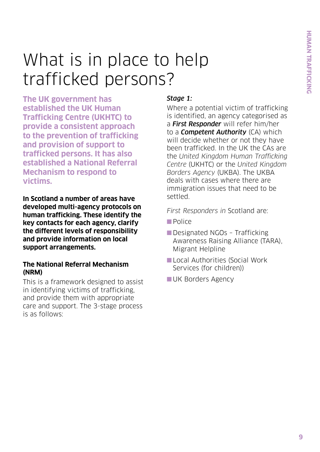### What is in place to help trafficked persons?

**The UK government has established the UK Human Trafficking Centre (UKHTC) to provide a consistent approach to the prevention of trafficking and provision of support to trafficked persons. It has also established a National Referral Mechanism to respond to victims.**

**In Scotland a number of areas have developed multi-agency protocols on human trafficking. These identify the key contacts for each agency, clarify the different levels of responsibility and provide information on local support arrangements.** 

#### **The National Referral Mechanism (NRM)**

This is a framework designed to assist in identifying victims of trafficking, and provide them with appropriate care and support. The 3-stage process is as follows:

#### Stage 1:

Where a potential victim of trafficking is identified, an agency categorised as a **First Responder** will refer him/her to a **Competent Authority** (CA) which will decide whether or not they have been trafficked. In the UK the CAs are the United Kingdom Human Trafficking Centre (UKHTC) or the United Kingdom Borders Agency (UKBA). The UKBA deals with cases where there are immigration issues that need to be settled.

First Responders in Scotland are:

- Police
- Designated NGOs Trafficking Awareness Raising Alliance (TARA), Migrant Helpline
- Local Authorities (Social Work Services (for children))
- UK Borders Agency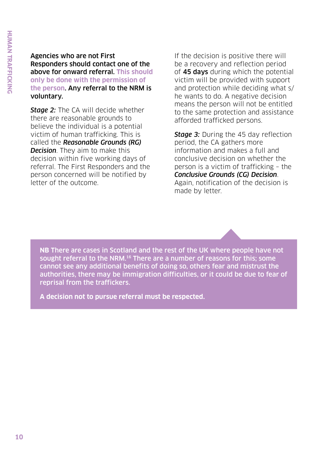Agencies who are not First Responders should contact one of the above for onward referral. **This should only be done with the permission of the person**. Any referral to the NRM is voluntary.

**Stage 2:** The CA will decide whether there are reasonable grounds to believe the individual is a potential victim of human trafficking. This is called the **Reasonable Grounds (RG) Decision**. They aim to make this decision within five working days of referral. The First Responders and the person concerned will be notified by letter of the outcome.

If the decision is positive there will be a recovery and reflection period of **45 days** during which the potential victim will be provided with support and protection while deciding what s/ he wants to do. A negative decision means the person will not be entitled to the same protection and assistance afforded trafficked persons.

**Stage 3:** During the 45 day reflection period, the CA gathers more information and makes a full and conclusive decision on whether the person is a victim of trafficking – the Conclusive Grounds (CG) Decision. Again, notification of the decision is made by letter.

**NB** There are cases in Scotland and the rest of the UK where people have not sought referral to the NRM.16 There are a number of reasons for this; some cannot see any additional benefits of doing so, others fear and mistrust the authorities, there may be immigration difficulties, or it could be due to fear of reprisal from the traffickers.

**A decision not to pursue referral must be respected.**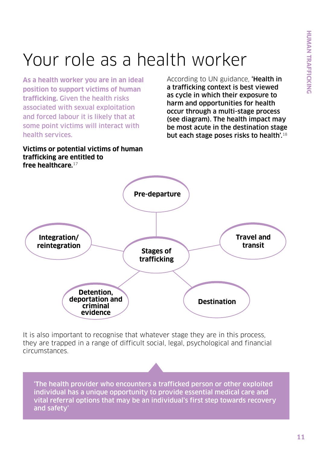### Your role as a health worker

**As a health worker you are in an ideal position to support victims of human trafficking.** Given the health risks associated with sexual exploitation and forced labour it is likely that at some point victims will interact with health services.

According to UN guidance, 'Health in a trafficking context is best viewed as cycle in which their exposure to harm and opportunities for health occur through a multi-stage process (see diagram). The health impact may be most acute in the destination stage but each stage poses risks to health'.<sup>18</sup>





It is also important to recognise that whatever stage they are in this process, they are trapped in a range of difficult social, legal, psychological and financial circumstances.

'The health provider who encounters a trafficked person or other exploited individual has a unique opportunity to provide essential medical care and vital referral options that may be an individual's first step towards recovery and safety'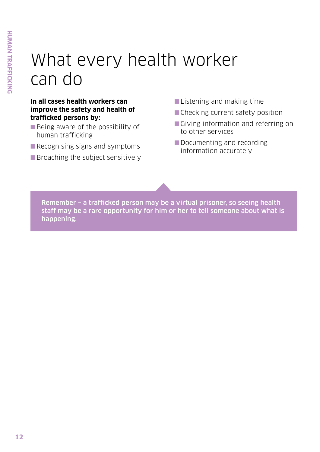### What every health worker can do

**In all cases health workers can improve the safety and health of trafficked persons by:**

- Being aware of the possibility of human trafficking
- Recognising signs and symptoms
- Broaching the subject sensitively
- Listening and making time
- Checking current safety position
- Giving information and referring on to other services
- Documenting and recording information accurately

Remember – a trafficked person may be a virtual prisoner, so seeing health staff may be a rare opportunity for him or her to tell someone about what is happening.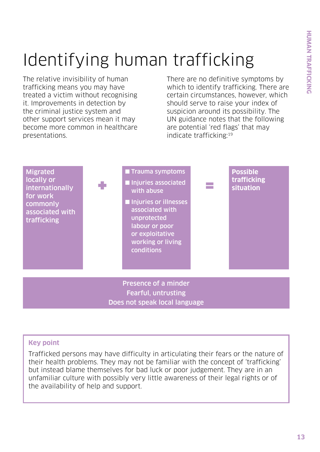# Identifying human trafficking

The relative invisibility of human trafficking means you may have treated a victim without recognising it. Improvements in detection by the criminal justice system and other support services mean it may become more common in healthcare presentations.

There are no definitive symptoms by which to identify trafficking. There are certain circumstances, however, which should serve to raise your index of suspicion around its possibility. The UN guidance notes that the following are potential 'red flags' that may indicate trafficking:19



#### **Key point**

Trafficked persons may have difficulty in articulating their fears or the nature of their health problems. They may not be familiar with the concept of 'trafficking' but instead blame themselves for bad luck or poor judgement. They are in an unfamiliar culture with possibly very little awareness of their legal rights or of the availability of help and support.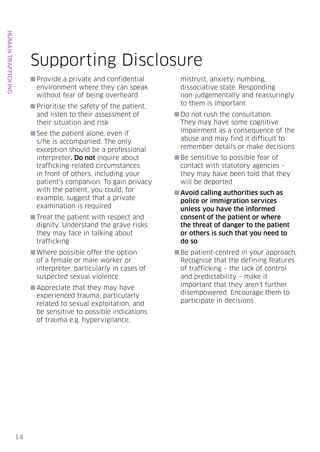### Supporting Disclosure

- Provide a private and confidential environment where they can speak without fear of being overheard
- Prioritise the safety of the patient, and listen to their assessment of their situation and risk
- See the patient alone, even if s/he is accompanied. The only exception should be a professional interpreter**.** Do not inquire about trafficking-related circumstances in front of others, including your patient's companion. To gain privacy with the patient, you could, for example, suggest that a private examination is required
- Treat the patient with respect and dignity. Understand the grave risks they may face in talking about trafficking
- Where possible offer the option of a female or male worker or interpreter, particularly in cases of suspected sexual violence
- Appreciate that they may have experienced trauma, particularly related to sexual exploitation, and be sensitive to possible indications of trauma e.g. hypervigilance,

mistrust, anxiety, numbing, dissociative state. Responding non-judgementally and reassuringly to them is important

- Do not rush the consultation. They may have some cognitive impairment as a consequence of the abuse and may find it difficult to remember details or make decisions
- Be sensitive to possible fear of contact with statutory agencies – they may have been told that they will be deported
- Avoid calling authorities such as police or immigration services unless you have the informed consent of the patient or where the threat of danger to the patient or others is such that you need to do so
- Be patient-centred in your approach. Recognise that the defining features of trafficking – the lack of control and predictability – make it important that they aren't further disempowered. Encourage them to participate in decisions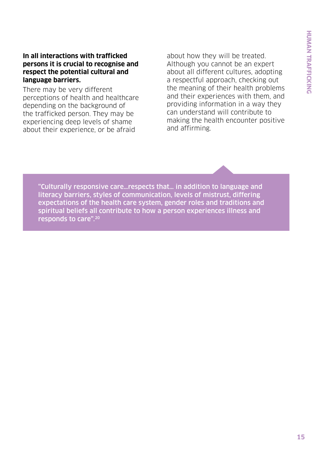#### **In all interactions with trafficked persons it is crucial to recognise and respect the potential cultural and language barriers.**

There may be very different perceptions of health and healthcare depending on the background of the trafficked person. They may be experiencing deep levels of shame about their experience, or be afraid

about how they will be treated. Although you cannot be an expert about all different cultures, adopting a respectful approach, checking out the meaning of their health problems and their experiences with them, and providing information in a way they can understand will contribute to making the health encounter positive and affirming.

"Culturally responsive care…respects that… in addition to language and literacy barriers, styles of communication, levels of mistrust, differing expectations of the health care system, gender roles and traditions and spiritual beliefs all contribute to how a person experiences illness and responds to care".20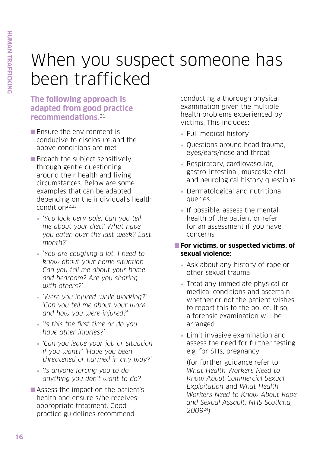### When you suspect someone has been trafficked

### **The following approach is adapted from good practice recommendations.**<sup>21</sup>

- Ensure the environment is conducive to disclosure and the above conditions are met
- Broach the subject sensitively through gentle questioning around their health and living circumstances. Below are some examples that can be adapted depending on the individual's health condition22,23
	- » 'You look very pale. Can you tell me about your diet? What have you eaten over the last week? Last month?'
	- » 'You are coughing a lot. I need to know about your home situation. Can you tell me about your home and bedroom? Are you sharing with others?'
	- » 'Were you injured while working?' 'Can you tell me about your work and how you were injured?'
	- » 'Is this the first time or do you have other injuries?'
	- » 'Can you leave your job or situation if you want?' 'Have you been threatened or harmed in any way?'
	- » 'Is anyone forcing you to do anything you don't want to do?'
- Assess the impact on the patient's health and ensure s/he receives appropriate treatment. Good practice guidelines recommend

conducting a thorough physical examination given the multiple health problems experienced by victims. This includes:

- » Full medical history
- » Questions around head trauma, eyes/ears/nose and throat
- » Respiratory, cardiovascular, gastro-intestinal, muscoskeletal and neurological history questions
- » Dermatological and nutritional queries
- » If possible, assess the mental health of the patient or refer for an assessment if you have concerns

#### ■ For victims, or suspected victims, of **sexual violence:**

- » Ask about any history of rape or other sexual trauma
- » Treat any immediate physical or medical conditions and ascertain whether or not the patient wishes to report this to the police. If so, a forensic examination will be arranged
- » Limit invasive examination and assess the need for further testing e.g. for STIs, pregnancy

(for further guidance refer to: What Health Workers Need to Know About Commercial Sexual Exploitation and What Health Workers Need to Know About Rape and Sexual Assault, NHS Scotland, 200924)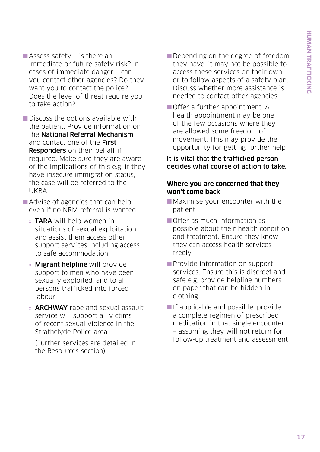- Assess safety  $-$  is there an immediate or future safety risk? In cases of immediate danger – can you contact other agencies? Do they want you to contact the police? Does the level of threat require you to take action?
- Discuss the options available with the patient. Provide information on the National Referral Mechanism and contact one of the First Responders on their behalf if required. Make sure they are aware of the implications of this e.g. if they have insecure immigration status, the case will be referred to the UKBA
- Advise of agencies that can help even if no NRM referral is wanted:
	- » TARA will help women in situations of sexual exploitation and assist them access other support services including access to safe accommodation
	- » Migrant helpline will provide support to men who have been sexually exploited, and to all persons trafficked into forced labour
	- » ARCHWAY rape and sexual assault service will support all victims of recent sexual violence in the Strathclyde Police area

(Further services are detailed in the Resources section)

- Depending on the degree of freedom they have, it may not be possible to access these services on their own or to follow aspects of a safety plan. Discuss whether more assistance is needed to contact other agencies
- Offer a further appointment. A health appointment may be one of the few occasions where they are allowed some freedom of movement. This may provide the opportunity for getting further help

#### It is vital that the trafficked person decides what course of action to take.

#### **Where you are concerned that they won't come back**

- Maximise your encounter with the patient
- Offer as much information as possible about their health condition and treatment. Ensure they know they can access health services freely
- Provide information on support services. Ensure this is discreet and safe e.g. provide helpline numbers on paper that can be hidden in clothing
- If applicable and possible, provide a complete regimen of prescribed medication in that single encounter – assuming they will not return for follow-up treatment and assessment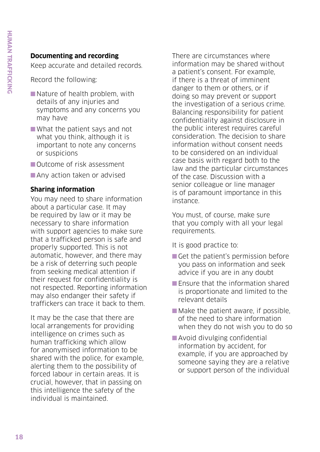#### **Documenting and recording**

Keep accurate and detailed records.

Record the following:

- Nature of health problem, with details of any injuries and symptoms and any concerns you may have
- What the patient says and not what you think, although it is important to note any concerns or suspicions
- Outcome of risk assessment
- Any action taken or advised

#### **Sharing information**

You may need to share information about a particular case. It may be required by law or it may be necessary to share information with support agencies to make sure that a trafficked person is safe and properly supported. This is not automatic, however, and there may be a risk of deterring such people from seeking medical attention if their request for confidentiality is not respected. Reporting information may also endanger their safety if traffickers can trace it back to them.

It may be the case that there are local arrangements for providing intelligence on crimes such as human trafficking which allow for anonymised information to be shared with the police, for example, alerting them to the possibility of forced labour in certain areas. It is crucial, however, that in passing on this intelligence the safety of the individual is maintained.

There are circumstances where information may be shared without a patient's consent. For example, if there is a threat of imminent danger to them or others, or if doing so may prevent or support the investigation of a serious crime. Balancing responsibility for patient confidentiality against disclosure in the public interest requires careful consideration. The decision to share information without consent needs to be considered on an individual case basis with regard both to the law and the particular circumstances of the case. Discussion with a senior colleague or line manager is of paramount importance in this instance.

You must, of course, make sure that you comply with all your legal requirements.

It is good practice to:

- Get the patient's permission before you pass on information and seek advice if you are in any doubt
- Ensure that the information shared is proportionate and limited to the relevant details
- Make the patient aware, if possible, of the need to share information when they do not wish you to do so
- Avoid divulging confidential information by accident, for example, if you are approached by someone saying they are a relative or support person of the individual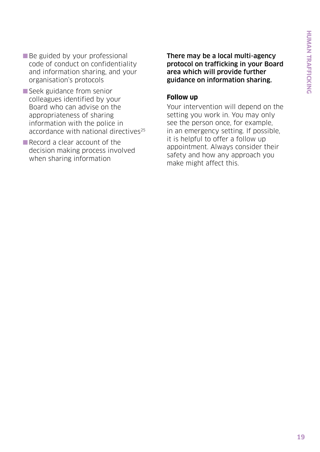- Be guided by your professional code of conduct on confidentiality and information sharing, and your organisation's protocols
- Seek guidance from senior colleagues identified by your Board who can advise on the appropriateness of sharing information with the police in accordance with national directives<sup>25</sup>
- Record a clear account of the decision making process involved when sharing information

There may be a local multi-agency protocol on trafficking in your Board area which will provide further guidance on information sharing.

#### **Follow up**

Your intervention will depend on the setting you work in. You may only see the person once, for example, in an emergency setting. If possible, it is helpful to offer a follow up appointment. Always consider their safety and how any approach you make might affect this.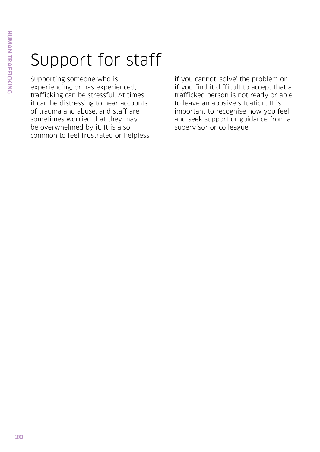### Support for staff

Supporting someone who is experiencing, or has experienced, trafficking can be stressful. At times it can be distressing to hear accounts of trauma and abuse, and staff are sometimes worried that they may be overwhelmed by it. It is also common to feel frustrated or helpless

if you cannot 'solve' the problem or if you find it difficult to accept that a trafficked person is not ready or able to leave an abusive situation. It is important to recognise how you feel and seek support or guidance from a supervisor or colleague.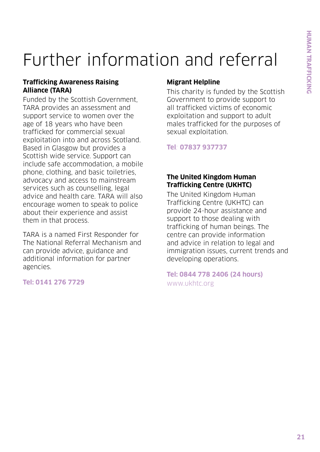## Further information and referral

#### **Trafficking Awareness Raising Alliance (TARA)**

Funded by the Scottish Government, TARA provides an assessment and support service to women over the age of 18 years who have been trafficked for commercial sexual exploitation into and across Scotland. Based in Glasgow but provides a Scottish wide service. Support can include safe accommodation, a mobile phone, clothing, and basic toiletries, advocacy and access to mainstream services such as counselling, legal advice and health care. TARA will also encourage women to speak to police about their experience and assist them in that process.

TARA is a named First Responder for The National Referral Mechanism and can provide advice, guidance and additional information for partner agencies.

#### **Tel: 0141 276 7729**

#### **Migrant Helpline**

This charity is funded by the Scottish Government to provide support to all trafficked victims of economic exploitation and support to adult males trafficked for the purposes of sexual exploitation.

#### **Tel**: **07837 937737**

#### **The United Kingdom Human Trafficking Centre (UKHTC)**

The United Kingdom Human Trafficking Centre (UKHTC) can provide 24-hour assistance and support to those dealing with trafficking of human beings. The centre can provide information and advice in relation to legal and immigration issues, current trends and developing operations.

**Tel: 0844 778 2406 (24 hours)**  [www.ukhtc.org](http://www.ukhtc.org)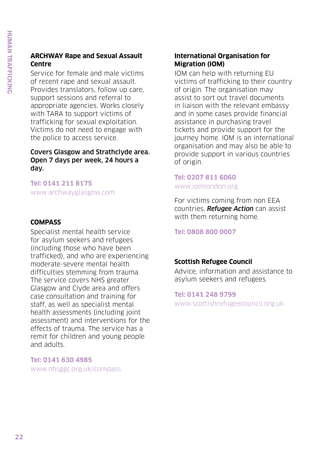#### **ARCHWAY Rape and Sexual Assault Centre**

Service for female and male victims of recent rape and sexual assault. Provides translators, follow up care, support sessions and referral to appropriate agencies. Works closely with TARA to support victims of trafficking for sexual exploitation. Victims do not need to engage with the police to access service.

#### Covers Glasgow and Strathclyde area. Open 7 days per week, 24 hours a day.

**Tel: 0141 211 8175**  [www.archwayglasgow.com](http://www.archwayglasgow.com)

#### **COMPASS**

Specialist mental health service for asylum seekers and refugees (including those who have been trafficked), and who are experiencing moderate-severe mental health difficulties stemming from trauma. The service covers NHS greater Glasgow and Clyde area and offers case consultation and training for staff, as well as specialist mental health assessments (including joint assessment) and interventions for the effects of trauma. The service has a remit for children and young people and adults.

#### **Tel: 0141 630 4985**

[www.nhsggc.org.uk/compass](https://web.nhs.net/owa/redir.aspx?C=e3ea5c19b0b442c08de7cd24da27bb56&URL=http%3a%2f%2fwww.nhsggc.org.uk%2fcompass)

#### **International Organisation for Migration (IOM)**

IOM can help with returning EU victims of trafficking to their country of origin. The organisation may assist to sort out travel documents in liaison with the relevant embassy and in some cases provide financial assistance in purchasing travel tickets and provide support for the journey home. IOM is an international organisation and may also be able to provide support in various countries of origin.

#### **Tel: 0207 811 6060**

#### [www.iomlondon.org](http://www.iomlondon.org)

For victims coming from non EEA countries. **Refugee Action** can assist with them returning home.

#### **Tel: 0808 800 0007**

#### **Scottish Refugee Council**

Advice, information and assistance to asylum seekers and refugees.

#### **Tel: 0141 248 9799**

[www.scottishrefugeecouncil.org.uk](http://www.scottishrefugeecouncil.org.uk)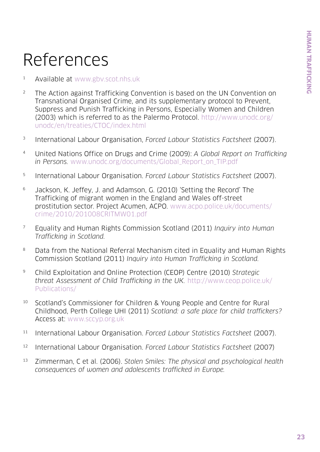### References

- <sup>1</sup> Available at [www.gbv.scot.nhs.uk](http://www.gbv.scot.nhs.uk)
- <sup>2</sup> The Action against Trafficking Convention is based on the UN Convention on Transnational Organised Crime, and its supplementary protocol to Prevent, Suppress and Punish Trafficking in Persons, Especially Women and Children (2003) which is referred to as the Palermo Protocol. [http://www.unodc.org/](http://www.unodc.org/unodc/en/treaties/CTOC/index.html) [unodc/en/treaties/CTOC/index.html](http://www.unodc.org/unodc/en/treaties/CTOC/index.html)
- <sup>3</sup> International Labour Organisation, Forced Labour Statistics Factsheet (2007).
- <sup>4</sup> United Nations Office on Drugs and Crime (2009): A Global Report on Trafficking in Persons. www.unodc.org/documents/Global Report on TIP.pdf
- <sup>5</sup> International Labour Organisation. Forced Labour Statistics Factsheet (2007).
- <sup>6</sup> Jackson, K. Jeffey, J. and Adamson, G. (2010) 'Setting the Record' The Trafficking of migrant women in the England and Wales off-street prostitution sector. Project Acumen, ACPO. www.acpo.police.uk/documents/ crime/2010/201008CRITMW01.pdf
- <sup>7</sup> Equality and Human Rights Commission Scotland (2011) Inquiry into Human Trafficking in Scotland.
- <sup>8</sup> Data from the National Referral Mechanism cited in Equality and Human Rights Commission Scotland (2011) Inquiry into Human Trafficking in Scotland.
- <sup>9</sup> Child Exploitation and Online Protection (CEOP) Centre (2010) Strategic threat Assessment of Child Trafficking in the UK. [http://www.ceop.police.uk/](http://www.ceop.police.uk/Publications/) [Publications/](http://www.ceop.police.uk/Publications/)
- <sup>10</sup> Scotland's Commissioner for Children & Young People and Centre for Rural Childhood, Perth College UHI (2011) Scotland: a safe place for child traffickers? Access at: [www.sccyp.org.uk](http://www.sccyp.org.uk/publications/adult/policyandresearch)
- <sup>11</sup> International Labour Organisation. Forced Labour Statistics Factsheet (2007).
- <sup>12</sup> International Labour Organisation. Forced Labour Statistics Factsheet (2007)
- <sup>13</sup> Zimmerman, C et al. (2006). Stolen Smiles: The physical and psychological health consequences of women and adolescents trafficked in Europe.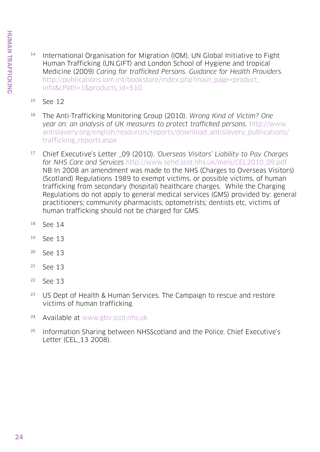- **HUMAN TRAFFICKING HUMAN TRAFFICKING**
- <sup>14</sup> International Organisation for Migration (IOM), UN Global Initiative to Fight Human Trafficking (UN.GIFT) and London School of Hygiene and tropical Medicine (2009) Caring for trafficked Persons. Guidance for Health Providers. http://publications.iom.int/bookstore/index.php?main\_page=product [info&cPath=1&products\\_id=510](http://publications.iom.int/bookstore/index.php?main_page=product_info&cPath=1&products_id=510)
- <sup>15</sup> See 12
- <sup>16</sup> The Anti-Trafficking Monitoring Group (2010). Wrong Kind of Victim? One year on: an analysis of UK measures to protect trafficked persons. [http://www.](http://www.antislavery.org/english/resources/reports/download_antislavery_publications/trafficking_reports.aspx) [antislavery.org/english/resources/reports/download\\_antislavery\\_publications/](http://www.antislavery.org/english/resources/reports/download_antislavery_publications/trafficking_reports.aspx) [trafficking\\_reports.aspx](http://www.antislavery.org/english/resources/reports/download_antislavery_publications/trafficking_reports.aspx)
- <sup>17</sup> Chief Executive's Letter \_09 (2010). 'Overseas Visitors' Liability to Pay Charges for NHS Care and Services [http://www.sehd.scot.nhs.uk/mels/CEL2010\\_09.pdf](http://www.sehd.scot.nhs.uk/mels/CEL2010_09.pdf) NB In 2008 an amendment was made to the NHS (Charges to Overseas Visitors) (Scotland) Regulations 1989 to exempt victims, or possible victims, of human trafficking from secondary (hospital) healthcare charges. While the Charging Regulations do not apply to general medical services (GMS) provided by: general practitioners; community pharmacists; optometrists; dentists etc, victims of human trafficking should not be charged for GMS.
- <sup>18</sup> See 14
- <sup>19</sup> See 13
- <sup>20</sup> See 13
- <sup>21</sup> See 13
- <sup>22</sup> See 13
- <sup>23</sup> US Dept of Health & Human Services. The Campaign to rescue and restore victims of human trafficking.
- <sup>24</sup> Available at [www.gbv.scot.nhs.uk](http://www.gbv.scot.nhs.uk)
- <sup>25</sup> Information Sharing between NHSScotland and the Police. Chief Executive's Letter (CEL\_13 2008).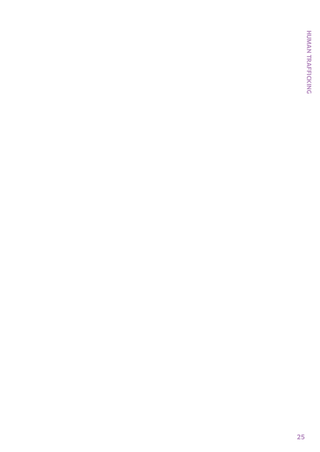**HUMAN TRAFFICKING HUMAN TRAFFICKING**